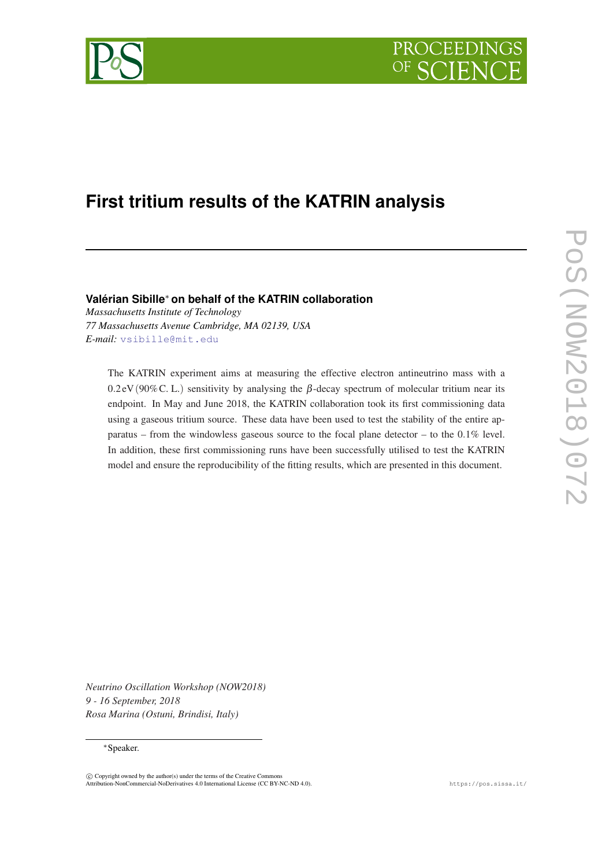



# **First tritium results of the KATRIN analysis**

**Valérian Sibille**<sup>∗</sup> **on behalf of the KATRIN collaboration**

*Massachusetts Institute of Technology 77 Massachusetts Avenue Cambridge, MA 02139, USA E-mail:* [vsibille@mit.edu](mailto:vsibille@mit.edu)

The KATRIN experiment aims at measuring the effective electron antineutrino mass with a 0.2 eV (90% C. L.) sensitivity by analysing the  $\beta$ -decay spectrum of molecular tritium near its endpoint. In May and June 2018, the KATRIN collaboration took its first commissioning data using a gaseous tritium source. These data have been used to test the stability of the entire apparatus – from the windowless gaseous source to the focal plane detector – to the  $0.1\%$  level. In addition, these first commissioning runs have been successfully utilised to test the KATRIN model and ensure the reproducibility of the fitting results, which are presented in this document.

*Neutrino Oscillation Workshop (NOW2018) 9 - 16 September, 2018 Rosa Marina (Ostuni, Brindisi, Italy)*

#### <sup>∗</sup>Speaker.

 $\overline{c}$  Copyright owned by the author(s) under the terms of the Creative Common Attribution-NonCommercial-NoDerivatives 4.0 International License (CC BY-NC-ND 4.0). https://pos.sissa.it/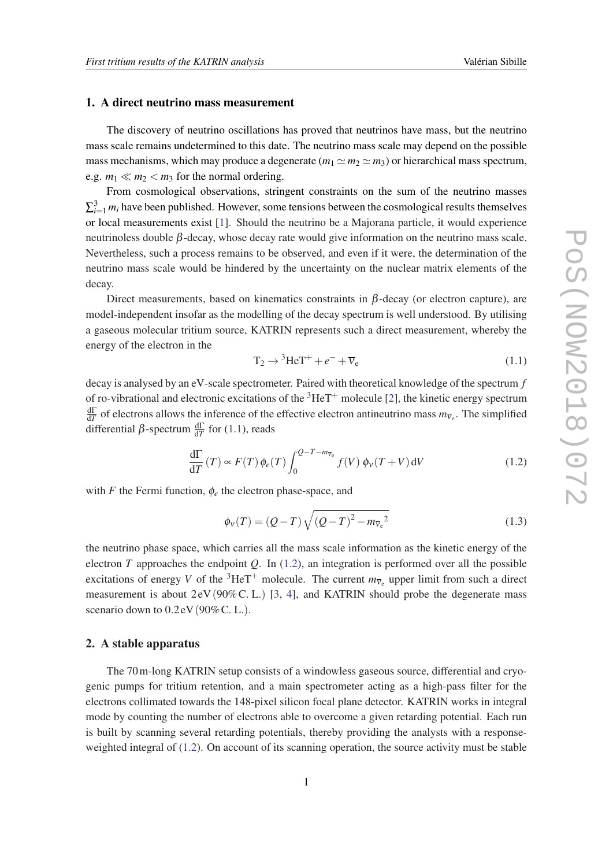#### 1. A direct neutrino mass measurement

The discovery of neutrino oscillations has proved that neutrinos have mass, but the neutrino mass scale remains undetermined to this date. The neutrino mass scale may depend on the possible mass mechanisms, which may produce a degenerate  $(m_1 \simeq m_2 \simeq m_3)$  or hierarchical mass spectrum, e.g.  $m_1 \ll m_2 < m_3$  for the normal ordering.

From cosmological observations, stringent constraints on the sum of the neutrino masses  $\sum_{i=1}^{3} m_i$  have been published. However, some tensions between the cosmological results themselves or local measurements exist [[1](#page-4-0)]. Should the neutrino be a Majorana particle, it would experience neutrinoless double  $β$ -decay, whose decay rate would give information on the neutrino mass scale. Nevertheless, such a process remains to be observed, and even if it were, the determination of the neutrino mass scale would be hindered by the uncertainty on the nuclear matrix elements of the decay.

Direct measurements, based on kinematics constraints in  $\beta$ -decay (or electron capture), are model-independent insofar as the modelling of the decay spectrum is well understood. By utilising a gaseous molecular tritium source, KATRIN represents such a direct measurement, whereby the energy of the electron in the

$$
T_2 \rightarrow {}^{3}HeT^+ + e^- + \overline{\nu}_e \tag{1.1}
$$

decay is analysed by an eV-scale spectrometer. Paired with theoretical knowledge of the spectrum *f* of ro-vibrational and electronic excitations of the  ${}^{3}$ HeT<sup>+</sup> molecule [[2\]](#page-4-0), the kinetic energy spectrum  $\frac{d\Gamma}{dT}$  of electrons allows the inference of the effective electron antineutrino mass  $m_{\overline{v}_e}$ . The simplified differential  $\beta$ -spectrum  $\frac{d\Gamma}{dT}$  for (1.1), reads

$$
\frac{d\Gamma}{dT}(T) \propto F(T)\,\phi_e(T)\int_0^{Q-T-m_{\overline{V}_e}} f(V)\,\phi_v(T+V)\,dV\tag{1.2}
$$

with  $F$  the Fermi function,  $\phi_e$  the electron phase-space, and

$$
\phi_V(T) = (Q - T) \sqrt{(Q - T)^2 - m_{\overline{V}_e}^2}
$$
\n(1.3)

the neutrino phase space, which carries all the mass scale information as the kinetic energy of the electron *T* approaches the endpoint *Q*. In (1.2), an integration is performed over all the possible excitations of energy *V* of the <sup>3</sup>HeT<sup>+</sup> molecule. The current  $m_{\overline{v}_e}$  upper limit from such a direct measurement is about  $2 \text{eV} (90\% \text{C. L.})$  [[3](#page-4-0), [4\]](#page-4-0), and KATRIN should probe the degenerate mass scenario down to  $0.2 \text{eV}$  (90% C. L.).

### 2. A stable apparatus

The 70m-long KATRIN setup consists of a windowless gaseous source, differential and cryogenic pumps for tritium retention, and a main spectrometer acting as a high-pass filter for the electrons collimated towards the 148-pixel silicon focal plane detector. KATRIN works in integral mode by counting the number of electrons able to overcome a given retarding potential. Each run is built by scanning several retarding potentials, thereby providing the analysts with a responseweighted integral of (1.2). On account of its scanning operation, the source activity must be stable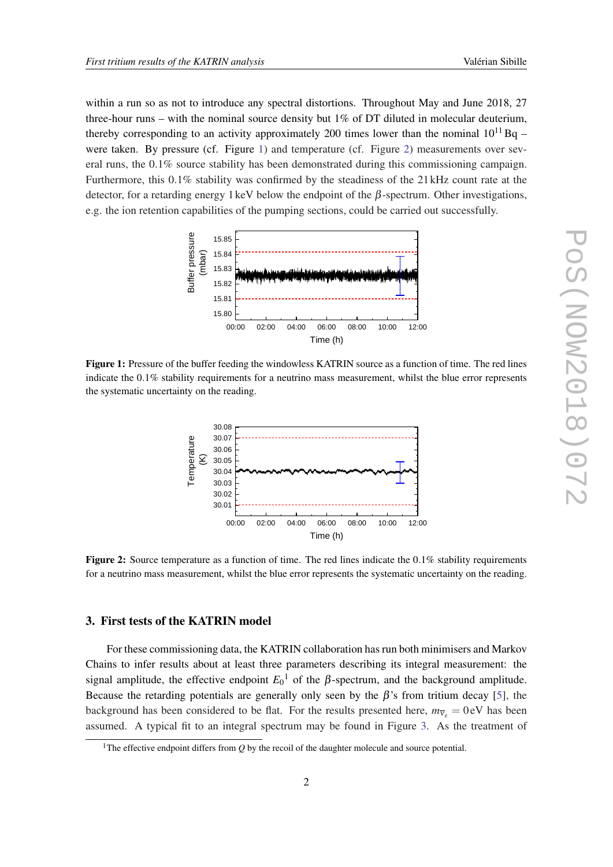within a run so as not to introduce any spectral distortions. Throughout May and June 2018, 27 three-hour runs – with the nominal source density but 1% of DT diluted in molecular deuterium, thereby corresponding to an activity approximately 200 times lower than the nominal  $10^{11}$  Bq – were taken. By pressure (cf. Figure 1) and temperature (cf. Figure 2) measurements over several runs, the 0.1% source stability has been demonstrated during this commissioning campaign. Furthermore, this 0.1% stability was confirmed by the steadiness of the 21 kHz count rate at the detector, for a retarding energy 1 keV below the endpoint of the  $\beta$ -spectrum. Other investigations, e.g. the ion retention capabilities of the pumping sections, could be carried out successfully.



Figure 1: Pressure of the buffer feeding the windowless KATRIN source as a function of time. The red lines indicate the 0.1% stability requirements for a neutrino mass measurement, whilst the blue error represents the systematic uncertainty on the reading.



Figure 2: Source temperature as a function of time. The red lines indicate the 0.1% stability requirements for a neutrino mass measurement, whilst the blue error represents the systematic uncertainty on the reading.

## 3. First tests of the KATRIN model

For these commissioning data, the KATRIN collaboration has run both minimisers and Markov Chains to infer results about at least three parameters describing its integral measurement: the signal amplitude, the effective endpoint  $E_0$ <sup>1</sup> of the β-spectrum, and the background amplitude. Because the retarding potentials are generally only seen by the  $\beta$ 's from tritium decay [\[5\]](#page-4-0), the background has been considered to be flat. For the results presented here,  $m_{\overline{v}_e} = 0$  eV has been assumed. A typical fit to an integral spectrum may be found in Figure [3](#page-3-0). As the treatment of

<sup>&</sup>lt;sup>1</sup>The effective endpoint differs from  $Q$  by the recoil of the daughter molecule and source potential.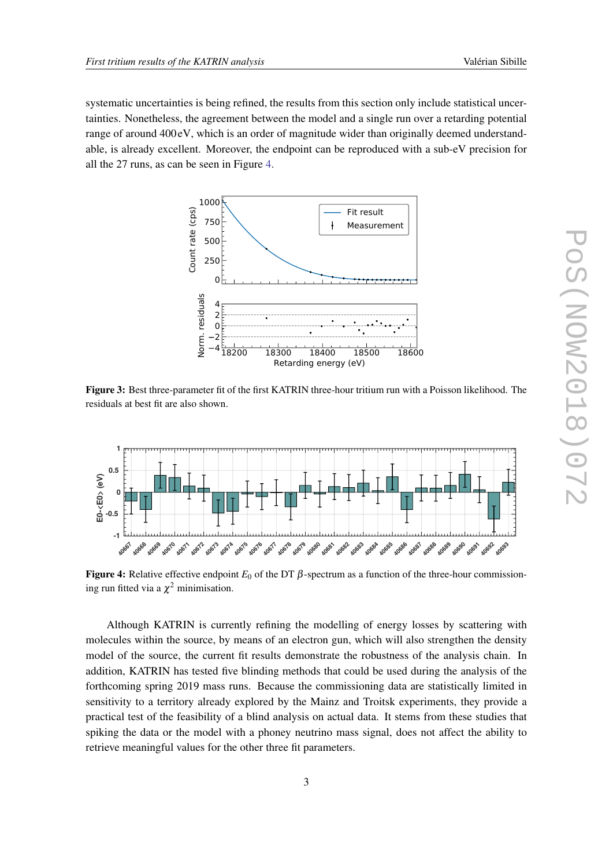<span id="page-3-0"></span>systematic uncertainties is being refined, the results from this section only include statistical uncertainties. Nonetheless, the agreement between the model and a single run over a retarding potential range of around 400 eV, which is an order of magnitude wider than originally deemed understandable, is already excellent. Moreover, the endpoint can be reproduced with a sub-eV precision for all the 27 runs, as can be seen in Figure 4.



Figure 3: Best three-parameter fit of the first KATRIN three-hour tritium run with a Poisson likelihood. The residuals at best fit are also shown.



Figure 4: Relative effective endpoint  $E_0$  of the DT  $\beta$ -spectrum as a function of the three-hour commissioning run fitted via a  $\chi^2$  minimisation.

Although KATRIN is currently refining the modelling of energy losses by scattering with molecules within the source, by means of an electron gun, which will also strengthen the density model of the source, the current fit results demonstrate the robustness of the analysis chain. In addition, KATRIN has tested five blinding methods that could be used during the analysis of the forthcoming spring 2019 mass runs. Because the commissioning data are statistically limited in sensitivity to a territory already explored by the Mainz and Troitsk experiments, they provide a practical test of the feasibility of a blind analysis on actual data. It stems from these studies that spiking the data or the model with a phoney neutrino mass signal, does not affect the ability to retrieve meaningful values for the other three fit parameters.